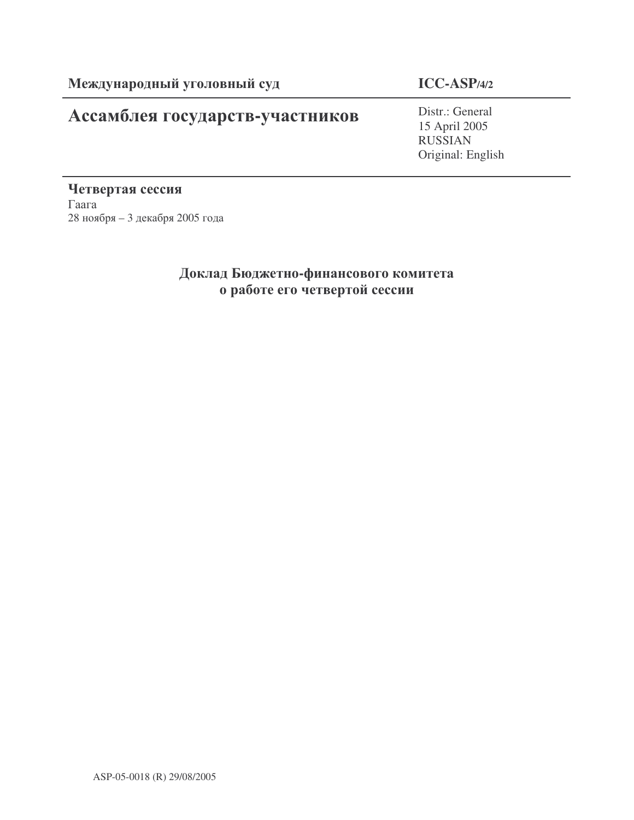# Ассамблея государств-участников

# **ICC-ASP/4/2**

Distr.: General 15 April 2005 RUSSIAN Original: English

Четвертая сессия  $\Gamma$ aara 28 ноября – 3 декабря 2005 года

# Доклад Бюджетно-финансового комитета о работе его четвертой сессии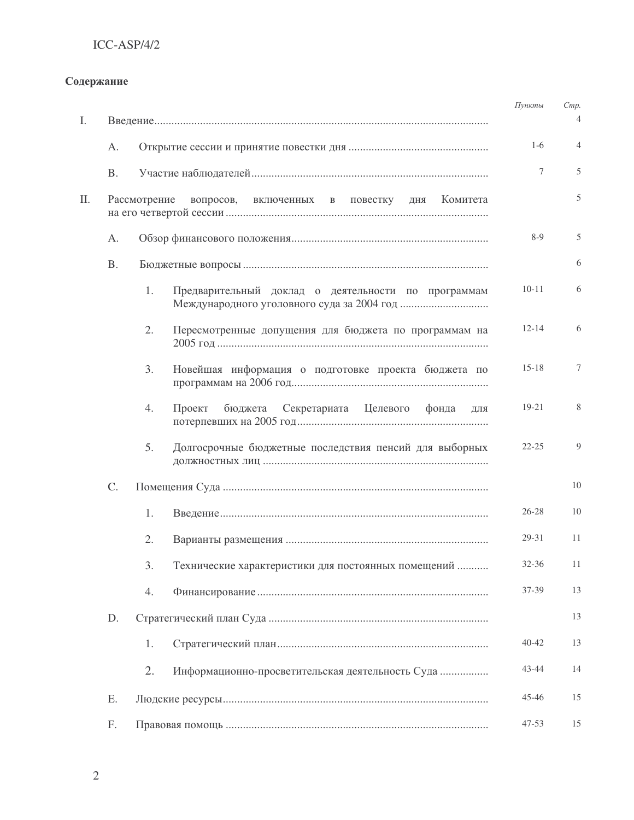## Содержание

| I.  |           |                                                               | Пункты    | Cmp.<br>4      |  |  |  |
|-----|-----------|---------------------------------------------------------------|-----------|----------------|--|--|--|
|     | A.        |                                                               | $1-6$     | 4              |  |  |  |
|     | <b>B.</b> |                                                               | 7         | 5              |  |  |  |
| II. |           | Рассмотрение<br>вопросов, включенных в повестку дня Комитета  |           | 5              |  |  |  |
|     | A.        |                                                               |           |                |  |  |  |
|     | <b>B.</b> |                                                               |           |                |  |  |  |
|     |           | 1.<br>Предварительный доклад о деятельности по программам     | $10 - 11$ | 6              |  |  |  |
|     |           | Пересмотренные допущения для бюджета по программам на<br>2.   | $12 - 14$ | 6              |  |  |  |
|     |           | 3.<br>Новейшая информация о подготовке проекта бюджета по     | $15 - 18$ | 7              |  |  |  |
|     |           | Секретариата Целевого фонда<br>Проект<br>бюджета<br>4.<br>ДЛЯ | 19-21     | 8              |  |  |  |
|     |           | 5.<br>Долгосрочные бюджетные последствия пенсий для выборных  | $22 - 25$ | $\overline{Q}$ |  |  |  |
|     | C.        |                                                               | 10        |                |  |  |  |
|     |           | 1.                                                            | $26 - 28$ | 10             |  |  |  |
|     |           | 2.                                                            | 29-31     | 11             |  |  |  |
|     |           | 3.<br>Технические характеристики для постоянных помещений     | 32-36     | 11             |  |  |  |
|     |           | 4.                                                            | 37-39     | 13             |  |  |  |
|     | D.        |                                                               |           | 13             |  |  |  |
|     |           | 1.                                                            | $40 - 42$ | 13             |  |  |  |
|     |           | 2.<br>Информационно-просветительская деятельность Суда        | 43-44     | 14             |  |  |  |
|     | Ε.        |                                                               | 45-46     | 15             |  |  |  |
|     | F.        |                                                               | $47 - 53$ | 15             |  |  |  |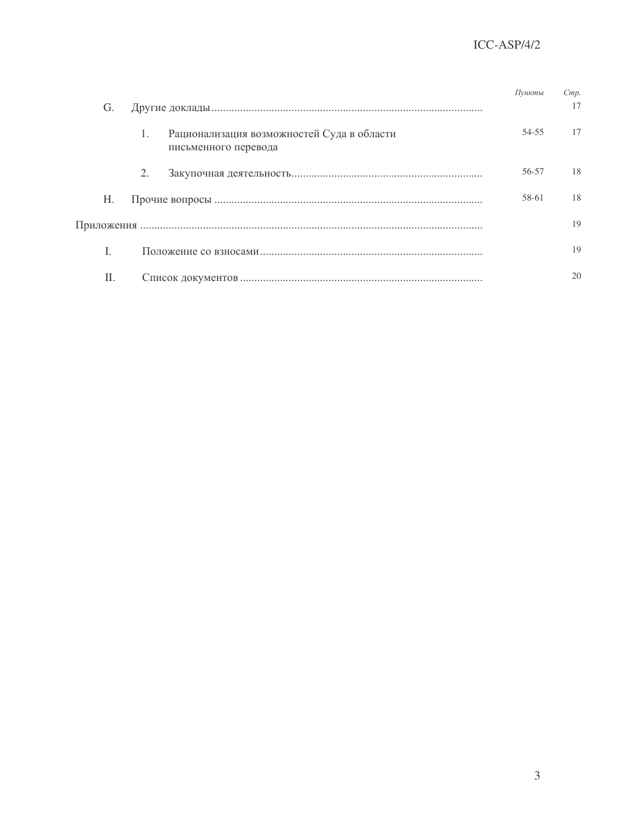|    |                                                                                      | Пункты | C <sub>mp</sub> . |
|----|--------------------------------------------------------------------------------------|--------|-------------------|
| G. |                                                                                      |        | 17                |
|    | Рационализация возможностей Суда в области<br>$\mathbf{1}$ .<br>письменного перевода | 54-55  | 17                |
|    | 2.                                                                                   | 56-57  | 18                |
| Н. |                                                                                      | 58-61  | 18                |
|    |                                                                                      |        | 19                |
|    |                                                                                      |        | 19                |
| H. |                                                                                      |        | 20                |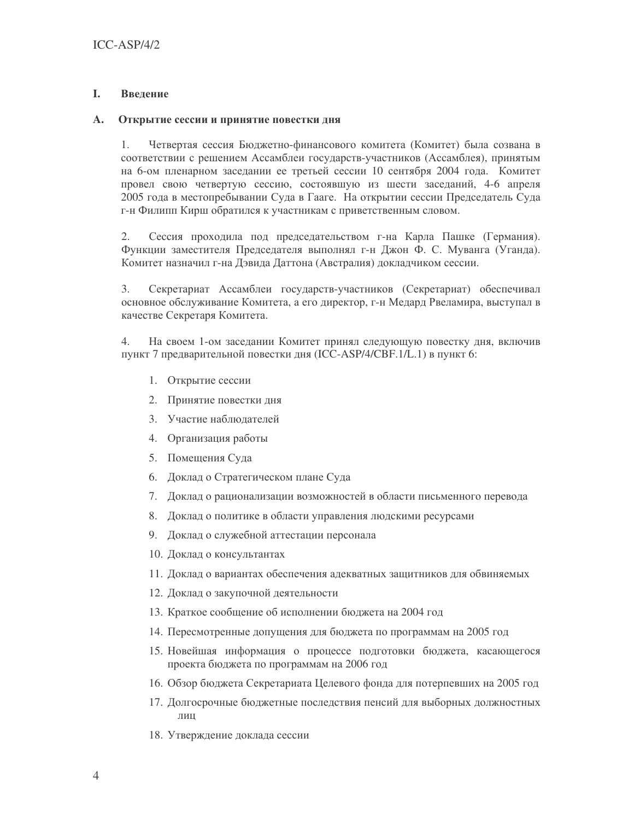### L. Введение

### $\mathbf{A}$ . Открытие сессии и принятие повестки дня

 $\mathbf{1}$ . Четвертая сессия Бюджетно-финансового комитета (Комитет) была созвана в соответствии с решением Ассамблеи государств-участников (Ассамблея), принятым на 6-ом пленарном заседании ее третьей сессии 10 сентября 2004 года. Комитет провел свою четвертую сессию, состоявшую из шести заседаний, 4-6 апреля 2005 года в местопребывании Суда в Гааге. На открытии сессии Председатель Суда г-н Филипп Кирш обратился к участникам с приветственным словом.

 $2.$ Сессия проходила под председательством г-на Карла Пашке (Германия). Функции заместителя Председателя выполнял г-н Джон Ф. С. Муванга (Уганда). Комитет назначил г-на Дэвида Даттона (Австралия) докладчиком сессии.

3. Секретариат Ассамблеи государств-участников (Секретариат) обеспечивал основное обслуживание Комитета, а его директор, г-н Медард Рвеламира, выступал в качестве Секретаря Комитета.

 $4.$ На своем 1-ом заседании Комитет принял следующую повестку дня, включив пункт 7 предварительной повестки дня (ICC-ASP/4/CBF.1/L.1) в пункт 6:

- 1. Открытие сессии
- 2. Принятие повестки дня
- 3. Участие наблюдателей
- 4. Организация работы
- 5. Помещения Суда
- 6. Доклад о Стратегическом плане Суда
- 7. Доклад о рационализации возможностей в области письменного перевода
- 8. Доклад о политике в области управления людскими ресурсами
- 9. Доклад о служебной аттестации персонала
- 10. Доклад о консультантах
- 11. Доклад о вариантах обеспечения адекватных защитников для обвиняемых
- 12. Доклад о закупочной деятельности
- 13. Краткое сообщение об исполнении бюджета на 2004 год
- 14. Пересмотренные допущения для бюджета по программам на 2005 год
- 15. Новейшая информация о процессе подготовки бюджета, касающегося проекта бюджета по программам на 2006 год
- 16. Обзор бюджета Секретариата Целевого фонда для потерпевших на 2005 год
- 17. Долгосрочные бюджетные последствия пенсий для выборных должностных лин
- 18. Утверждение доклада сессии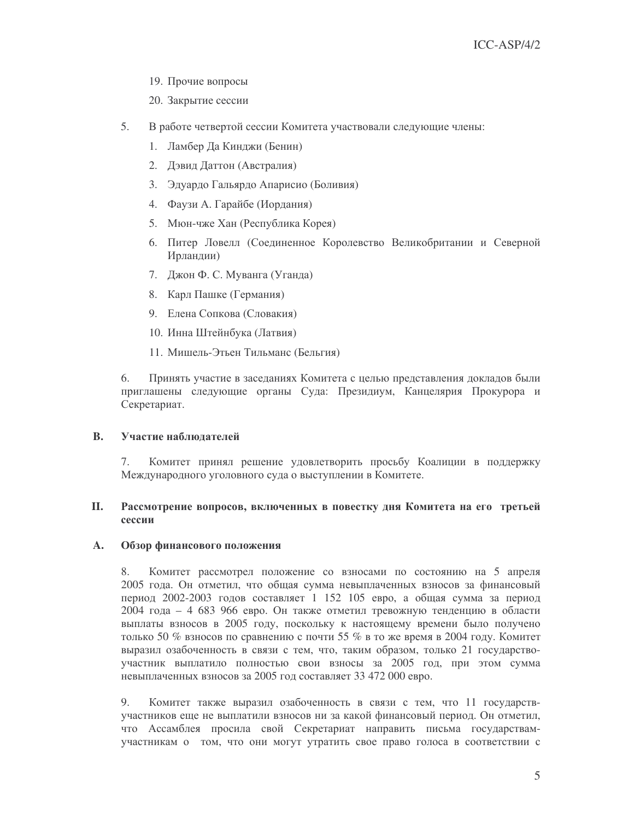- 19. Прочие вопросы
- 20. Закрытие сессии
- 5. В работе четвертой сессии Комитета участвовали следующие члены:
	- 1. Ламбер Да Кинджи (Бенин)
	- 2. Дэвид Даттон (Австралия)
	- 3. Эдуардо Гальярдо Апарисио (Боливия)
	- 4. Фаузи А. Гарайбе (Иордания)
	- 5. Мюн-чже Хан (Республика Корея)
	- 6. Питер Ловелл (Соединенное Королевство Великобритании и Северной Ирландии)
	- 7. Джон Ф. С. Муванга (Уганда)
	- 8. Карл Пашке (Германия)
	- 9. Елена Сопкова (Словакия)
	- 10. Инна Штейнбука (Латвия)
	- 11. Мишель-Этьен Тильманс (Бельгия)

Принять участие в заседаниях Комитета с целью представления докладов были 6. приглашены следующие органы Суда: Президиум, Канцелярия Прокурора и Секретариат.

### **B.** Участие наблюдателей

7. Комитет принял решение удовлетворить просьбу Коалиции в поддержку Международного уголовного суда о выступлении в Комитете.

### $\Pi$ . Рассмотрение вопросов, включенных в повестку дня Комитета на его третьей сессии

### $\mathbf{A}$ . Обзор финансового положения

Комитет рассмотрел положение со взносами по состоянию на 5 апреля 8. 2005 года. Он отметил, что общая сумма невыплаченных взносов за финансовый период 2002-2003 годов составляет 1 152 105 евро, а общая сумма за период 2004 года - 4 683 966 евро. Он также отметил тревожную тенденцию в области выплаты взносов в 2005 году, поскольку к настоящему времени было получено только 50 % взносов по сравнению с почти 55 % в то же время в 2004 году. Комитет выразил озабоченность в связи с тем, что, таким образом, только 21 государствоучастник выплатило полностью свои взносы за 2005 год, при этом сумма невыплаченных взносов за 2005 год составляет 33 472 000 евро.

9. Комитет также выразил озабоченность в связи с тем, что 11 государствучастников еще не выплатили взносов ни за какой финансовый период. Он отметил, что Ассамблея просила свой Секретариат направить письма государствамучастникам о том, что они могут утратить свое право голоса в соответствии с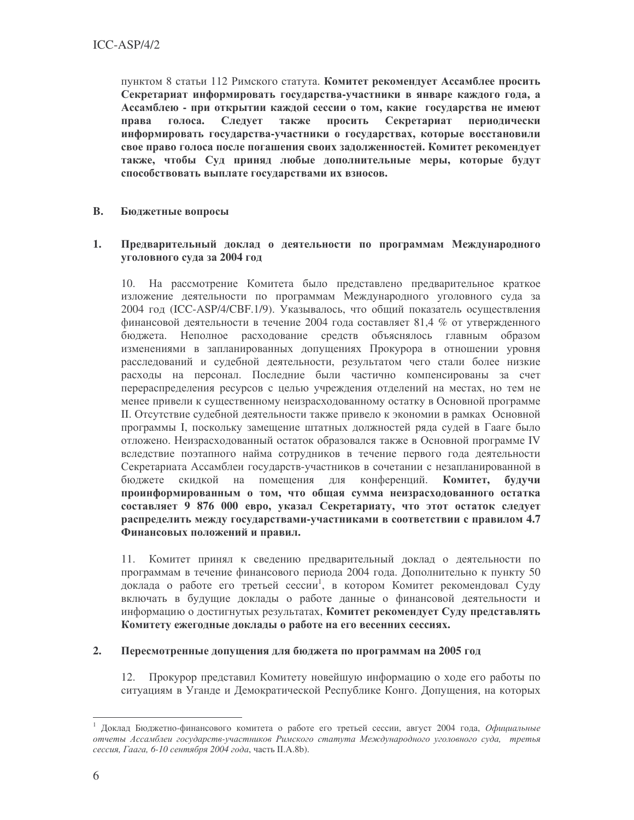пунктом 8 статьи 112 Римского статута. Комитет рекомендует Ассамблее просить Секретариат информировать государства-участники в январе каждого года, а Ассамблею - при открытии каждой сессии о том, какие государства не имеют голоса. Следует также просить Секретариат права периодически информировать государства-участники о государствах, которые восстановили свое право голоса после погашения своих задолженностей. Комитет рекомендует также, чтобы Суд приняд любые дополнительные меры, которые будут способствовать выплате государствами их взносов.

### **B.** Бюджетные вопросы

### Предварительный доклад о деятельности по программам Международного 1. уголовного суда за 2004 год

10. На рассмотрение Комитета было представлено предварительное краткое изложение деятельности по программам Международного уголовного суда за 2004 год (ICC-ASP/4/CBF.1/9). Указывалось, что общий показатель осуществления финансовой деятельности в течение 2004 года составляет 81,4 % от утвержденного бюджета. Неполное расходование средств объяснялось главным образом изменениями в запланированных допущениях Прокурора в отношении уровня расследований и судебной деятельности, результатом чего стали более низкие расходы на персонал. Последние были частично компенсированы за счет перераспределения ресурсов с целью учреждения отделений на местах, но тем не менее привели к существенному неизрасходованному остатку в Основной программе II. Отсутствие судебной деятельности также привело к экономии в рамках Основной программы I, поскольку замещение штатных должностей ряда судей в Гааге было отложено. Неизрасходованный остаток образовался также в Основной программе IV вследствие поэтапного найма сотрудников в течение первого года деятельности Секретариата Ассамблеи государств-участников в сочетании с незапланированной в конференций. бюджете скидкой на помещения для Комитет, будучи проинформированным о том, что общая сумма неизрасходованного остатка составляет 9 876 000 евро, указал Секретариату, что этот остаток следует распределить между государствами-участниками в соответствии с правилом 4.7 Финансовых положений и правил.

11. Комитет принял к сведению предварительный доклад о деятельности по программам в течение финансового периода 2004 года. Дополнительно к пункту 50 доклада о работе его третьей сессии<sup>1</sup>, в котором Комитет рекомендовал Суду включать в будущие доклады о работе данные о финансовой деятельности и информацию о достигнутых результатах, Комитет рекомендует Суду представлять Комитету ежегодные доклады о работе на его весенних сессиях.

#### $2.$ Пересмотренные допущения для бюджета по программам на 2005 год

12. Прокурор представил Комитету новейшую информацию о ходе его работы по ситуациям в Уганде и Демократической Республике Конго. Допущения, на которых

Доклад Бюджетно-финансового комитета о работе его третьей сессии, август 2004 года, Официальные отчеты Ассамблеи государств-участников Римского статута Международного уголовного суда, третья сессия. Гаага, 6-10 сентября 2004 года, часть II.A.8b).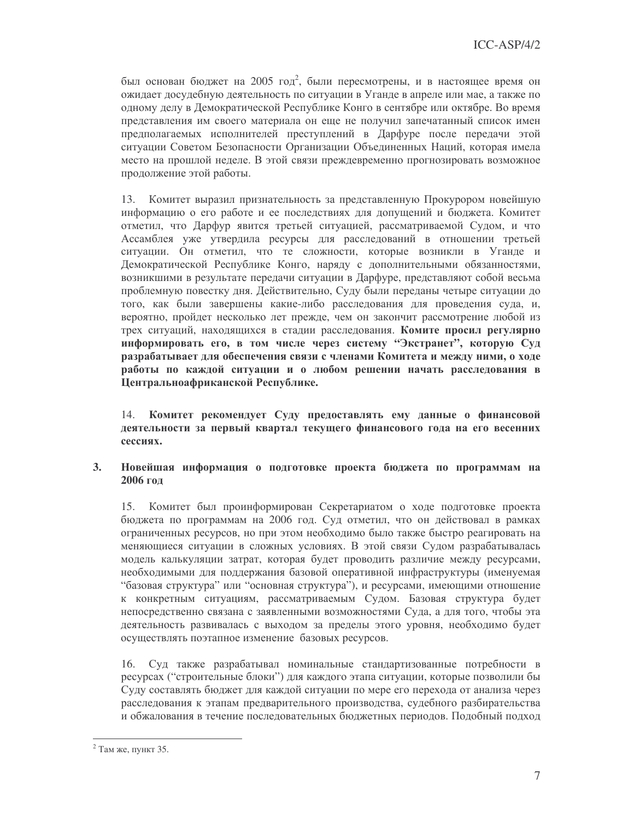был основан бюджет на 2005 год<sup>2</sup>, были пересмотрены, и в настоящее время он ожидает досудебную деятельность по ситуации в Уганде в апреле или мае, а также по одному делу в Демократической Республике Конго в сентябре или октябре. Во время представления им своего материала он еще не получил запечатанный список имен предполагаемых исполнителей преступлений в Дарфуре после передачи этой ситуации Советом Безопасности Организации Объединенных Наций, которая имела место на прошлой неделе. В этой связи преждевременно прогнозировать возможное продолжение этой работы.

13. Комитет выразил признательность за представленную Прокурором новейшую информацию о его работе и ее последствиях для допущений и бюджета. Комитет отметил, что Дарфур явится третьей ситуацией, рассматриваемой Судом, и что Ассамблея уже утвердила ресурсы для расследований в отношении третьей ситуации. Он отметил, что те сложности, которые возникли в Уганде и Демократической Республике Конго, наряду с дополнительными обязанностями, возникшими в результате передачи ситуации в Дарфуре, представляют собой весьма проблемную повестку дня. Действительно, Суду были переданы четыре ситуации до того, как были завершены какие-либо расследования для проведения суда, и, вероятно, пройдет несколько лет прежде, чем он закончит рассмотрение любой из трех ситуаций, находящихся в стадии расследования. Комите просил регулярно информировать его, в том числе через систему "Экстранет", которую Суд разрабатывает для обеспечения связи с членами Комитета и между ними, о ходе работы по каждой ситуации и о любом решении начать расследования в Центральноафриканской Республике.

Комитет рекомендует Суду предоставлять ему данные о финансовой 14. деятельности за первый квартал текущего финансового года на его весенних сессиях.

### Новейшая информация о подготовке проекта бюджета по программам на  $3.$ 2006 год

15. Комитет был проинформирован Секретариатом о ходе подготовке проекта бюджета по программам на 2006 год. Суд отметил, что он действовал в рамках ограниченных ресурсов, но при этом необходимо было также быстро реагировать на меняющиеся ситуации в сложных условиях. В этой связи Судом разрабатывалась модель калькуляции затрат, которая будет проводить различие между ресурсами, необходимыми для поддержания базовой оперативной инфраструктуры (именуемая "базовая структура" или "основная структура"), и ресурсами, имеющими отношение к конкретным ситуациям, рассматриваемым Судом. Базовая структура будет непосредственно связана с заявленными возможностями Суда, а для того, чтобы эта деятельность развивалась с выходом за пределы этого уровня, необходимо будет осуществлять поэтапное изменение базовых ресурсов.

Суд также разрабатывал номинальные стандартизованные потребности в 16. ресурсах ("строительные блоки") для каждого этапа ситуации, которые позволили бы Суду составлять бюджет для каждой ситуации по мере его перехода от анализа через расследования к этапам предварительного производства, судебного разбирательства и обжалования в течение последовательных бюджетных периодов. Подобный подход

<sup>&</sup>lt;sup>2</sup> Там же. пункт 35.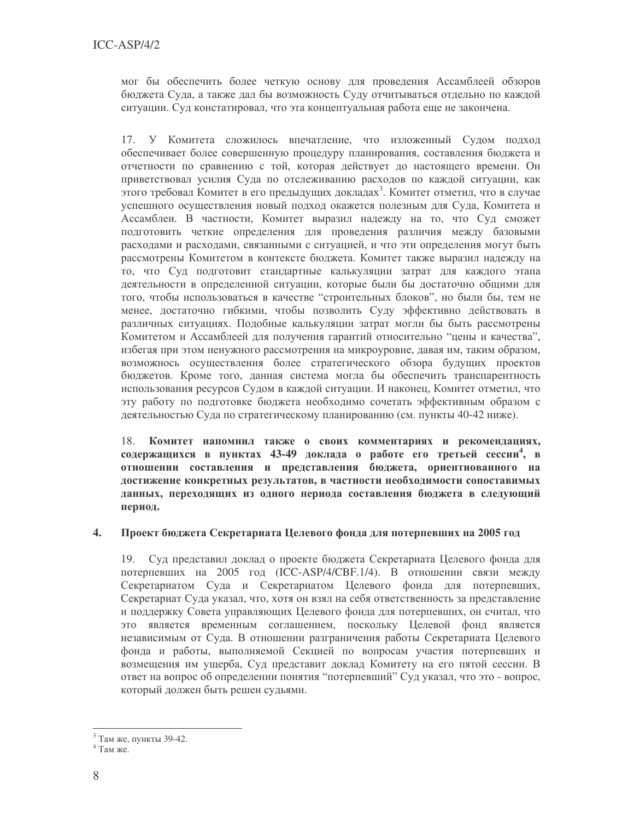мог бы обеспечить более четкую основу для проведения Ассамблеей обзоров бюджета Суда, а также дал бы возможность Суду отчитываться отдельно по каждой ситуации. Суд констатировал, что эта концептуальная работа еще не закончена.

17. У Комитета сложилось впечатление, что изложенный Судом подход обеспечивает более совершенную процедуру планирования, составления бюджета и отчетности по сравнению с той, которая действует до настоящего времени. Он приветствовал усилия Суда по отслеживанию расходов по каждой ситуации, как этого требовал Комитет в его предыдущих докладах<sup>3</sup>. Комитет отметил, что в случае успешного осуществления новый подход окажется полезным для Суда, Комитета и Ассамблеи. В частности, Комитет выразил надежду на то, что Суд сможет подготовить четкие определения для проведения различия между базовыми расходами и расходами, связанными с ситуацией, и что эти определения могут быть рассмотрены Комитетом в контексте бюджета. Комитет также выразил надежду на то, что Суд подготовит стандартные калькуляции затрат для каждого этапа деятельности в определенной ситуации, которые были бы достаточно общими для того, чтобы использоваться в качестве "строительных блоков", но были бы, тем не менее, достаточно гибкими, чтобы позволить Суду эффективно действовать в различных ситуациях. Подобные калькуляции затрат могли бы быть рассмотрены Комитетом и Ассамблеей для получения гарантий относительно "цены и качества", избегая при этом ненужного рассмотрения на микроуровне, давая им, таким образом, возможнось осуществления более стратегического обзора будущих проектов бюджетов. Кроме того, данная система могла бы обеспечить транспарентность использования ресурсов Судом в каждой ситуации. И наконец, Комитет отметил, что эту работу по подготовке бюджета необходимо сочетать эффективным образом с деятельностью Суда по стратегическому планированию (см. пункты 40-42 ниже).

Комитет напомнил также о своих комментариях и рекомендациях, 18. содержащихся в пунктах 43-49 доклада о работе его третьей сессии<sup>4</sup>, в отношении составления и представления бюджета, ориентиованного на достижение конкретных результатов, в частности необходимости сопоставимых данных, переходящих из одного периода составления бюджета в следующий период.

### Проект бюджета Секретариата Целевого фонда для потерпевших на 2005 год 4.

19. Суд представил доклад о проекте бюджета Секретариата Целевого фонда для потерпевших на 2005 год (ICC-ASP/4/CBF.1/4). В отношении связи между Секретариатом Суда и Секретариатом Целевого фонда для потерпевших, Секретариат Суда указал, что, хотя он взял на себя ответственность за представление и поддержку Совета управляющих Целевого фонда для потерпевших, он считал, что это является временным соглашением, поскольку Целевой фонд является независимым от Суда. В отношении разграничения работы Секретариата Целевого фонда и работы, выполняемой Секцией по вопросам участия потерпевших и возмещения им ущерба. Суд представит доклад Комитету на его пятой сессии. В ответ на вопрос об определении понятия "потерпевший" Суд указал, что это - вопрос, который должен быть решен судьями.

 $3$  Там же. пункты 39-42.

 $4$  Там же.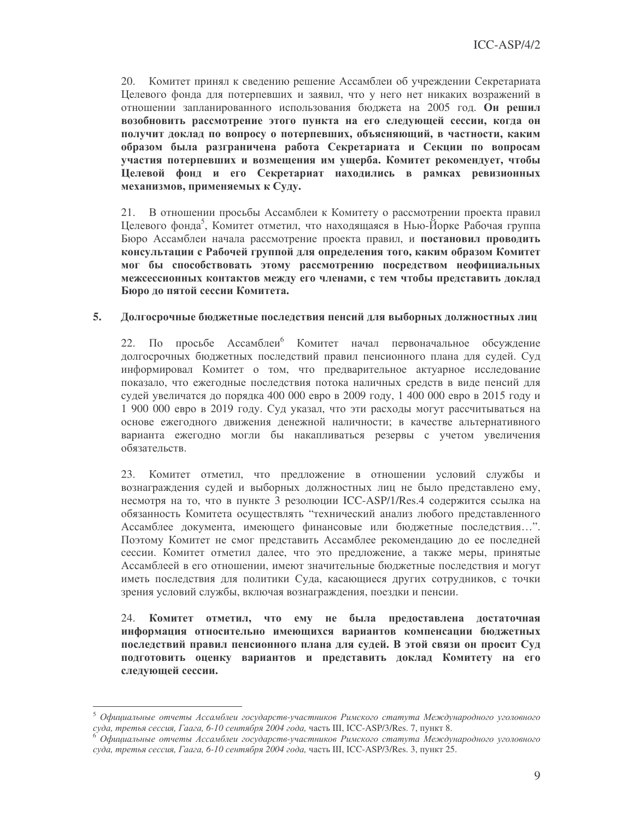20. Комитет принял к сведению решение Ассамблеи об учреждении Секретариата Целевого фонда для потерпевших и заявил, что у него нет никаких возражений в отношении запланированного использования бюджета на 2005 год. Он решил возобновить рассмотрение этого пункта на его следующей сессии, когда он получит доклад по вопросу о потерпевших, объясняющий, в частности, каким образом была разграничена работа Секретариата и Секции по вопросам участия потерпевших и возмещения им ущерба. Комитет рекомендует, чтобы Целевой фонд и его Секретариат находились в рамках ревизионных механизмов, применяемых к Суду.

21. В отношении просьбы Ассамблеи к Комитету о рассмотрении проекта правил Целевого фонда<sup>5</sup>, Комитет отметил, что находящаяся в Нью-Йорке Рабочая группа Бюро Ассамблеи начала рассмотрение проекта правил, и постановил проводить консультации с Рабочей группой для определения того, каким образом Комитет мог бы способствовать этому рассмотрению посредством неофициальных межсессионных контактов между его членами, с тем чтобы представить доклад Бюро до пятой сессии Комитета.

### 5. Долгосрочные бюджетные последствия пенсий для выборных должностных лиц

22. По просьбе Ассамблеи<sup>6</sup> Комитет начал первоначальное обсуждение долгосрочных бюджетных последствий правил пенсионного плана для судей. Суд информировал Комитет о том, что предварительное актуарное исследование показало, что ежегодные последствия потока наличных средств в виде пенсий для судей увеличатся до порядка 400 000 евро в 2009 году, 1 400 000 евро в 2015 году и 1 900 000 евро в 2019 году. Суд указал, что эти расходы могут рассчитываться на основе ежегодного движения денежной наличности; в качестве альтернативного варианта ежегодно могли бы накапливаться резервы с учетом увеличения обязательств.

23. Комитет отметил, что предложение в отношении условий службы и вознаграждения судей и выборных должностных лиц не было представлено ему, несмотря на то, что в пункте 3 резолюции ICC-ASP/1/Res.4 содержится ссылка на обязанность Комитета осуществлять "технический анализ любого представленного Ассамблее документа, имеющего финансовые или бюджетные последствия...". Поэтому Комитет не смог представить Ассамблее рекомендацию до ее последней сессии. Комитет отметил далее, что это предложение, а также меры, принятые Ассамблеей в его отношении, имеют значительные бюджетные последствия и могут иметь последствия для политики Суда, касающиеся других сотрудников, с точки зрения условий службы, включая вознаграждения, поездки и пенсии.

Комитет отметил, что ему не была предоставлена достаточная 24. информация относительно имеющихся вариантов компенсации бюджетных последствий правил пенсионного плана для судей. В этой связи он просит Суд подготовить оценку вариантов и представить доклад Комитету на его следующей сессии.

Официальные отчеты Ассамблеи государств-участников Римского статута Международного уголовного суда, третья сессия, Гаага, 6-10 сентября 2004 года, часть III, ICC-ASP/3/Res. 7, пункт 8.

Официальные отчеты Ассамблеи государств-участников Римского статута Международного уголовного суда, третья сессия, Гаага, 6-10 сентября 2004 года, часть III, ICC-ASP/3/Res. 3, пункт 25.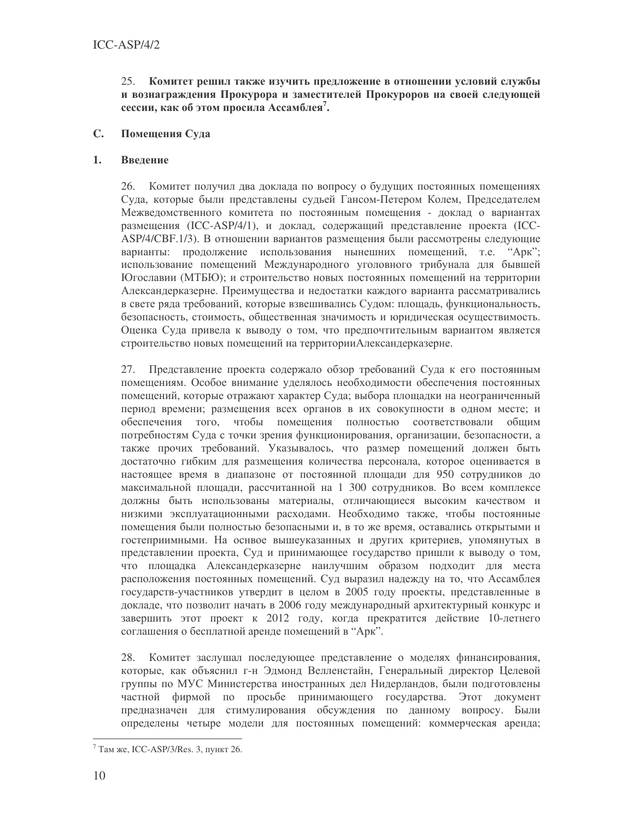25. Комитет решил также изучить предложение в отношении условий службы и вознаграждения Прокурора и заместителей Прокуроров на своей следующей сессии, как об этом просила Ассамблея<sup>7</sup>.

### $\mathbf{C}$ . Помещения Суда

### $\mathbf{1}$ . Введение

26. Комитет получил два доклада по вопросу о будущих постоянных помещениях Суда, которые были представлены судьей Гансом-Петером Колем, Председателем Межведомственного комитета по постоянным помещения - доклад о вариантах размещения (ICC-ASP/4/1), и доклад, содержащий представление проекта (ICC-ASP/4/CBF.1/3). В отношении вариантов размещения были рассмотрены следующие варианты: продолжение использования нынешних помещений, т.е. "Арк"; использование помещений Международного уголовного трибунала для бывшей Югославии (МТБЮ); и строительство новых постоянных помещений на территории Александерказерне. Преимущества и недостатки каждого варианта рассматривались в свете ряда требований, которые взвешивались Судом: площадь, функциональность, безопасность, стоимость, общественная значимость и юридическая осуществимость. Оценка Суда привела к выводу о том, что предпочтительным вариантом является строительство новых помещений на территорииАлександерказерне.

27. Представление проекта содержало обзор требований Суда к его постоянным помещениям. Особое внимание уделялось необходимости обеспечения постоянных помещений, которые отражают характер Суда; выбора площадки на неограниченный период времени; размещения всех органов в их совокупности в одном месте; и обеспечения того, чтобы помещения полностью соответствовали общим потребностям Суда с точки зрения функционирования, организации, безопасности, а также прочих требований. Указывалось, что размер помещений должен быть достаточно гибким для размещения количества персонала, которое оценивается в настоящее время в диапазоне от постоянной площади для 950 сотрудников до максимальной площади, рассчитанной на 1 300 сотрудников. Во всем комплексе должны быть использованы материалы, отличающиеся высоким качеством и низкими эксплуатационными расходами. Необходимо также, чтобы постоянные помещения были полностью безопасными и, в то же время, оставались открытыми и гостеприимными. На оснвое вышеуказанных и других критериев, упомянутых в представлении проекта, Суд и принимающее государство пришли к выводу о том, что площадка Александерказерне наилучшим образом подходит для места расположения постоянных помещений. Суд выразил надежду на то, что Ассамблея государств-участников утвердит в целом в 2005 году проекты, представленные в докладе, что позволит начать в 2006 году международный архитектурный конкурс и завершить этот проект к 2012 году, когда прекратится действие 10-летнего соглашения о бесплатной аренде помещений в "Арк".

Комитет заслушал последующее представление о моделях финансирования, 28. которые, как объяснил г-н Эдмонд Велленстайн, Генеральный директор Целевой группы по МУС Министерства иностранных дел Нидерландов, были подготовлены частной фирмой по просьбе принимающего государства. Этот документ предназначен для стимулирования обсуждения по данному вопросу. Были определены четыре модели для постоянных помещений: коммерческая аренда;

 $7$  Там же, ICC-ASP/3/Res. 3, пункт 26.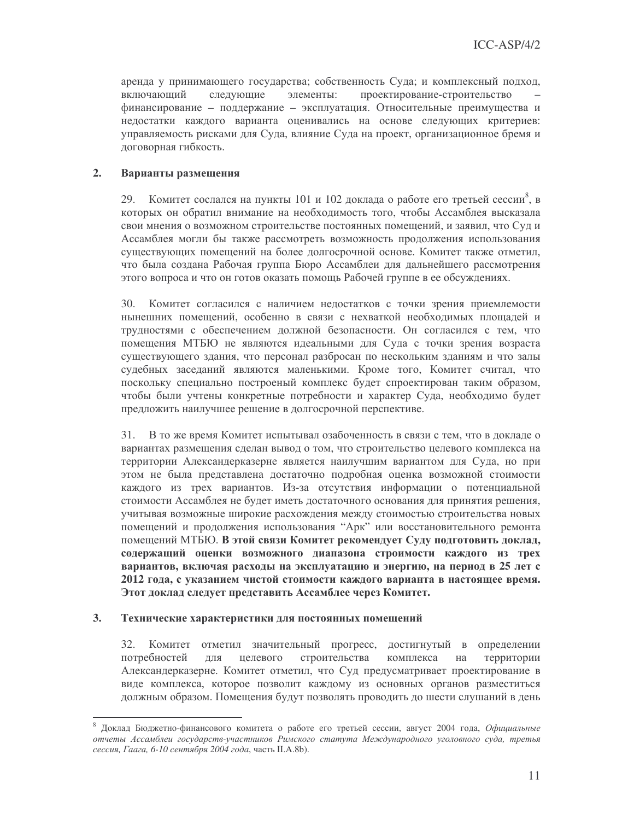аренда у принимающего государства; собственность Суда; и комплексный подход, следующие проектирование-строительство включающий элементы: финансирование - поддержание - эксплуатация. Относительные преимущества и недостатки каждого варианта оценивались на основе следующих критериев: управляемость рисками для Суда, влияние Суда на проект, организационное бремя и договорная гибкость.

### $2.$ Варианты размещения

29. Комитет сослался на пункты 101 и 102 доклада о работе его третьей сессии<sup>8</sup>, в которых он обратил внимание на необходимость того, чтобы Ассамблея высказала свои мнения о возможном строительстве постоянных помещений, и заявил, что Суд и Ассамблея могли бы также рассмотреть возможность продолжения использования существующих помещений на более долгосрочной основе. Комитет также отметил, что была создана Рабочая группа Бюро Ассамблеи для дальнейшего рассмотрения этого вопроса и что он готов оказать помощь Рабочей группе в ее обсуждениях.

30. Комитет согласился с наличием недостатков с точки зрения приемлемости нынешних помещений, особенно в связи с нехваткой необходимых площадей и трудностями с обеспечением должной безопасности. Он согласился с тем, что помещения МТБЮ не являются идеальными для Суда с точки зрения возраста существующего здания, что персонал разбросан по нескольким зданиям и что залы судебных заседаний являются маленькими. Кроме того, Комитет считал, что поскольку специально построеный комплекс будет спроектирован таким образом, чтобы были учтены конкретные потребности и характер Суда, необходимо будет предложить наилучшее решение в долгосрочной перспективе.

31. В то же время Комитет испытывал озабоченность в связи с тем, что в докладе о вариантах размещения сделан вывод о том, что строительство целевого комплекса на территории Александерказерне является наилучшим вариантом для Суда, но при этом не была представлена достаточно подробная оценка возможной стоимости каждого из трех вариантов. Из-за отсутствия информации о потенциальной стоимости Ассамблея не будет иметь достаточного основания для принятия решения, учитывая возможные широкие расхождения между стоимостью строительства новых помещений и продолжения использования "Арк" или восстановительного ремонта помещений МТБЮ. В этой связи Комитет рекомендует Суду подготовить доклад, содержащий оценки возможного диапазона строимости каждого из трех вариантов, включая расходы на эксплуатацию и энергию, на период в 25 лет с 2012 года, с указанием чистой стоимости каждого варианта в настоящее время. Этот доклад следует представить Ассамблее через Комитет.

#### $3<sub>1</sub>$ Технические характеристики для постоянных помещений

Комитет отметил значительный прогресс, достигнутый в определении 32. потребностей целевого строительства комплекса территории ДЛЯ на Александерказерне. Комитет отметил, что Суд предусматривает проектирование в виде комплекса, которое позволит каждому из основных органов разместиться должным образом. Помещения будут позволять проводить до шести слушаний в день

Доклад Бюджетно-финансового комитета о работе его третьей сессии, август 2004 года, Официальные отчеты Ассамблеи государств-участников Римского статута Международного уголовного суда, третья сессия. Гаага, 6-10 сентября 2004 года, часть II.A.8b).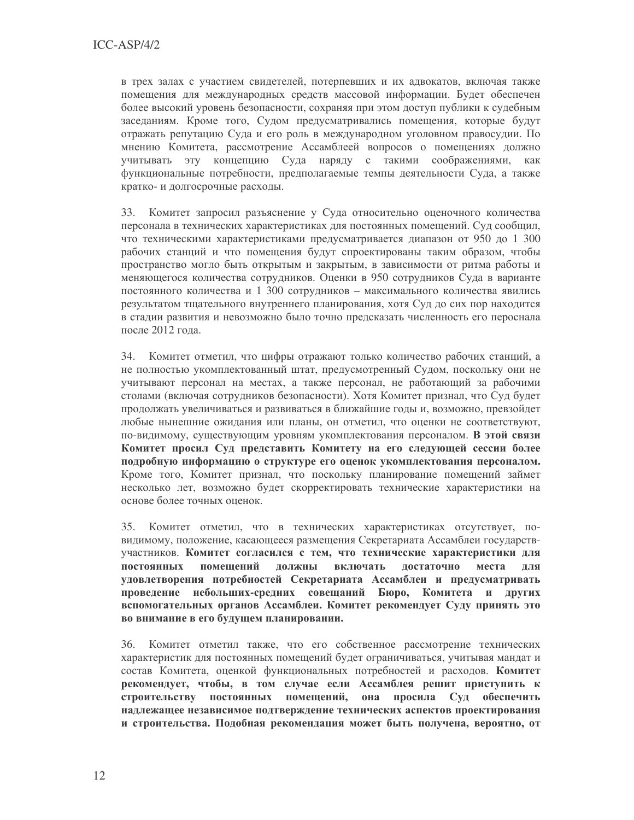в трех залах с участием свидетелей, потерпевших и их адвокатов, включая также помещения для международных средств массовой информации. Будет обеспечен более высокий уровень безопасности, сохраняя при этом доступ публики к судебным заседаниям. Кроме того, Судом предусматривались помещения, которые будут отражать репутацию Суда и его роль в международном уголовном правосудии. По мнению Комитета, рассмотрение Ассамблеей вопросов о помещениях должно учитывать эту концепцию Суда наряду с такими соображениями, как функциональные потребности, предполагаемые темпы деятельности Суда, а также кратко- и долгосрочные расходы.

33. Комитет запросил разъяснение у Суда относительно оценочного количества персонала в технических характеристиках для постоянных помещений. Суд сообщил, что техническими характеристиками предусматривается диапазон от 950 до 1 300 рабочих станций и что помещения будут спроектированы таким образом, чтобы пространство могло быть открытым и закрытым, в зависимости от ритма работы и меняющегося количества сотрудников. Оценки в 950 сотрудников Суда в варианте постоянного количества и 1 300 сотрудников - максимального количества явились результатом тщательного внутреннего планирования, хотя Суд до сих пор находится в стадии развития и невозможно было точно предсказать численность его пероснала после 2012 года.

34. Комитет отметил, что цифры отражают только количество рабочих станций, а не полностью укомплектованный штат, предусмотренный Судом, поскольку они не учитывают персонал на местах, а также персонал, не работающий за рабочими столами (включая сотрудников безопасности). Хотя Комитет признал, что Суд будет продолжать увеличиваться и развиваться в ближайшие годы и, возможно, превзойдет любые нынешние ожидания или планы, он отметил, что оценки не соответствуют, по-видимому, существующим уровням укомплектования персоналом. В этой связи Комитет просил Суд представить Комитету на его следующей сессии более подробную информацию о структуре его оценок укомплектования персоналом. Кроме того, Комитет признал, что поскольку планирование помещений займет несколько лет, возможно будет скорректировать технические характеристики на основе более точных оценок.

Комитет отметил, что в технических характеристиках отсутствует, по-35. видимому, положение, касающееся размещения Секретариата Ассамблеи государствучастников. Комитет согласился с тем, что технические характеристики для постоянных помешений должны включать достаточно места лля удовлетворения потребностей Секретариата Ассамблеи и предусматривать проведение небольших-средних совещаний Бюро, Комитета и других вспомогательных органов Ассамблеи. Комитет рекомендует Суду принять это во внимание в его будущем планировании.

36. Комитет отметил также, что его собственное рассмотрение технических характеристик для постоянных помещений будет ограничиваться, учитывая мандат и состав Комитета, оценкой функциональных потребностей и расходов. Комитет рекомендует, чтобы, в том случае если Ассамблея решит приступить к строительству постоянных помещений, она просила Суд обеспечить надлежащее независимое подтверждение технических аспектов проектирования и строительства. Подобная рекомендация может быть получена, вероятно, от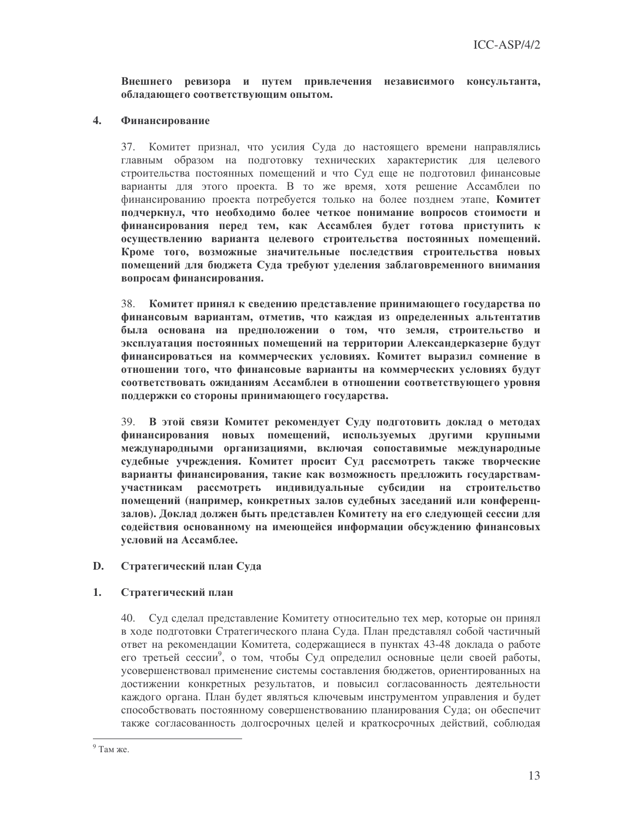## Внешнего ревизора и путем привлечения независимого консультанта, обладающего соответствующим опытом.

### $\overline{4}$ . Финансирование

37. Комитет признал, что усилия Суда до настоящего времени направлялись главным образом на подготовку технических характеристик для целевого строительства постоянных помещений и что Суд еще не подготовил финансовые варианты для этого проекта. В то же время, хотя решение Ассамблеи по финансированию проекта потребуется только на более позднем этапе. Комитет подчеркнул, что необходимо более четкое понимание вопросов стоимости и финансирования перед тем, как Ассамблея будет готова приступить к осуществлению варианта целевого строительства постоянных помещений. Кроме того, возможные значительные последствия строительства новых помещений для бюджета Суда требуют уделения заблаговременного внимания вопросам финансирования.

38. Комитет принял к сведению представление принимающего государства по финансовым вариантам, отметив, что каждая из определенных альтентатив была основана на предположении о том, что земля, строительство и эксплуатация постоянных помещений на территории Александерказерне будут финансироваться на коммерческих условиях. Комитет выразил сомнение в отношении того, что финансовые варианты на коммерческих условиях будут соответствовать ожиданиям Ассамблеи в отношении соответствующего уровня поддержки со стороны принимающего государства.

В этой связи Комитет рекомендует Суду подготовить доклад о методах 39. финансирования новых помещений, используемых другими крупными международными организациями, включая сопоставимые международные судебные учреждения. Комитет просит Суд рассмотреть также творческие варианты финансирования, такие как возможность предложить государствамрассмотреть индивидуальные субсидии на строительство участникам помещений (например, конкретных залов судебных заседаний или конференцзалов). Доклад должен быть представлен Комитету на его следующей сессии для содействия основанному на имеющейся информации обсуждению финансовых условий на Ассамблее.

### D. Стратегический план Суда

### $1<sup>1</sup>$ Стратегический план

40. Суд сделал представление Комитету относительно тех мер, которые он принял в ходе подготовки Стратегического плана Суда. План представлял собой частичный ответ на рекомендации Комитета, содержащиеся в пунктах 43-48 доклада о работе его третьей сессии<sup>9</sup>, о том, чтобы Суд определил основные цели своей работы, усовершенствовал применение системы составления бюджетов, ориентированных на достижении конкретных результатов, и повысил согласованность деятельности каждого органа. План будет являться ключевым инструментом управления и будет способствовать постоянному совершенствованию планирования Суда; он обеспечит также согласованность долгосрочных целей и краткосрочных действий, соблюдая

 $9$  Там же.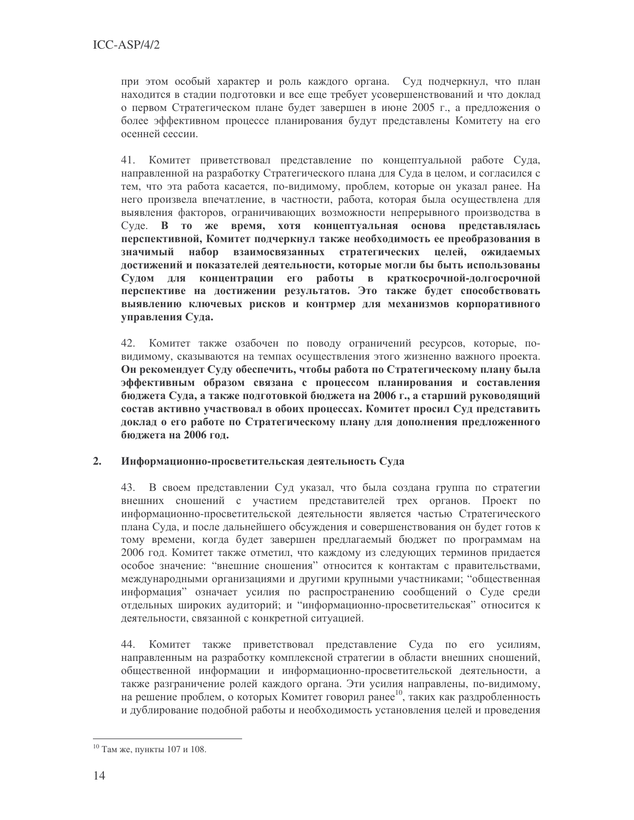при этом особый характер и роль каждого органа. Суд подчеркнул, что план находится в стадии подготовки и все еще требует усовершенствований и что доклад о первом Стратегическом плане будет завершен в июне 2005 г., а предложения о более эффективном процессе планирования будут представлены Комитету на его осенней сессии.

Комитет приветствовал представление по концептуальной работе Суда, 41. направленной на разработку Стратегического плана для Суда в целом, и согласился с тем, что эта работа касается, по-видимому, проблем, которые он указал ранее. На него произвела впечатление, в частности, работа, которая была осуществлена для выявления факторов, ограничивающих возможности непрерывного производства в Суде. В то же время, хотя концептуальная основа представлялась перспективной, Комитет подчеркнул также необходимость ее преобразования в значимый набор взаимосвязанных стратегических целей, ожидаемых достижений и показателей деятельности, которые могли бы быть использованы Судом для концентрации его работы в краткосрочной-долгосрочной перспективе на достижении результатов. Это также будет способствовать выявлению ключевых рисков и контрмер для механизмов корпоративного управления Суда.

42. Комитет также озабочен по поводу ограничений ресурсов, которые, повидимому, сказываются на темпах осуществления этого жизненно важного проекта. Он рекомендует Суду обеспечить, чтобы работа по Стратегическому плану была эффективным образом связана с процессом планирования и составления бюджета Суда, а также подготовкой бюджета на 2006 г., а старший руководящий состав активно участвовал в обоих процессах. Комитет просил Суд представить доклад о его работе по Стратегическому плану для дополнения предложенного бюлжета на 2006 год.

### $2.$ Информационно-просветительская деятельность Суда

43. В своем представлении Суд указал, что была создана группа по стратегии внешних сношений с участием представителей трех органов. Проект по информационно-просветительской деятельности является частью Стратегического плана Суда, и после дальнейшего обсуждения и совершенствования он будет готов к тому времени, когда будет завершен предлагаемый бюджет по программам на 2006 год. Комитет также отметил, что каждому из следующих терминов придается особое значение: "внешние сношения" относится к контактам с правительствами, международными организациями и другими крупными участниками; "общественная информация" означает усилия по распространению сообщений о Суде среди отдельных широких аудиторий; и "информационно-просветительская" относится к деятельности, связанной с конкретной ситуацией.

Комитет также приветствовал представление Суда по его усилиям, 44. направленным на разработку комплексной стратегии в области внешних сношений, общественной информации и информационно-просветительской деятельности, а также разграничение ролей каждого органа. Эти усилия направлены, по-видимому, на решение проблем, о которых Комитет говорил ранее<sup>10</sup>, таких как раздробленность и дублирование подобной работы и необходимость установления целей и проведения

<sup>10</sup> Там же, пункты 107 и 108.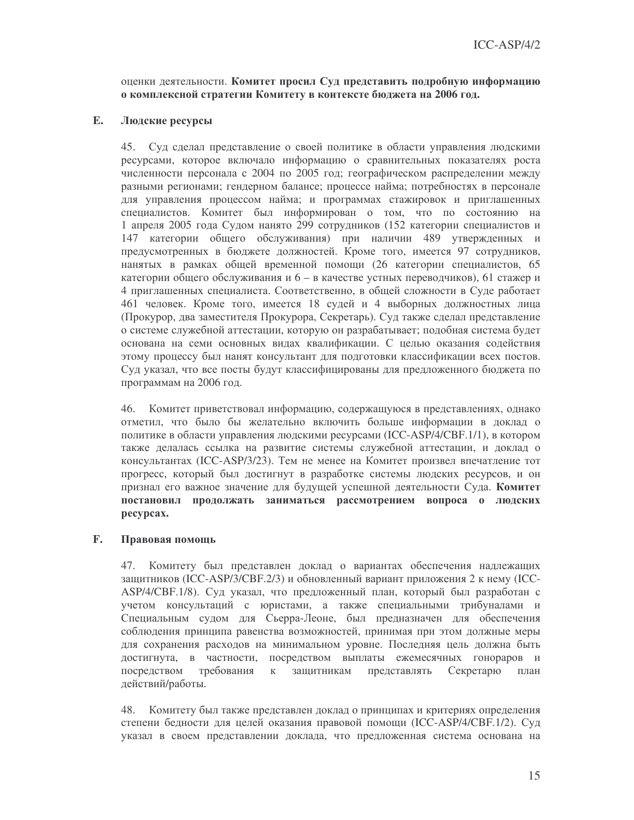оценки деятельности. Комитет просил Суд представить подробную информацию о комплексной стратегии Комитету в контексте бюджета на 2006 год.

### E. Людские ресурсы

45. Суд сделал представление о своей политике в области управления людскими ресурсами, которое включало информацию о сравнительных показателях роста численности персонала с 2004 по 2005 год; географическом распределении между разными регионами; гендерном балансе; процессе найма; потребностях в персонале для управления процессом найма; и программах стажировок и приглашенных специалистов. Комитет был информирован о том, что по состоянию на 1 апреля 2005 года Судом нанято 299 сотрудников (152 категории специалистов и 147 категории общего обслуживания) при наличии 489 утвержденных и предусмотренных в бюджете должностей. Кроме того, имеется 97 сотрудников, нанятых в рамках общей временной помощи (26 категории специалистов, 65 категории общего обслуживания и 6 - в качестве устных переводчиков), 61 стажер и 4 приглашенных специалиста. Соответственно, в общей сложности в Суде работает 461 человек. Кроме того, имеется 18 судей и 4 выборных должностных лица (Прокурор, два заместителя Прокурора, Секретарь). Суд также сделал представление о системе служебной аттестации, которую он разрабатывает; подобная система будет основана на семи основных видах квалификации. С целью оказания содействия этому процессу был нанят консультант для подготовки классификации всех постов. Суд указал, что все посты будут классифицированы для предложенного бюджета по программам на 2006 год.

46. Комитет приветствовал информацию, содержащуюся в представлениях, однако отметил, что было бы желательно включить больше информации в доклад о политике в области управления людскими ресурсами (ICC-ASP/4/CBF.1/1), в котором также делалась ссылка на развитие системы служебной аттестации, и доклад о консультантах (ICC-ASP/3/23). Тем не менее на Комитет произвел впечатление тот прогресс, который был достигнут в разработке системы людских ресурсов, и он признал его важное значение для будущей успешной деятельности Суда. Комитет постановил продолжать заниматься рассмотрением вопроса о людских pecypcax.

#### F. Правовая помощь

47. Комитету был представлен доклад о вариантах обеспечения надлежащих защитников (ICC-ASP/3/CBF.2/3) и обновленный вариант приложения 2 к нему (ICC-ASP/4/CBF.1/8). Суд указал, что предложенный план, который был разработан с учетом консультаций с юристами, а также специальными трибуналами и Специальным судом для Сьерра-Леоне, был предназначен для обеспечения соблюдения принципа равенства возможностей, принимая при этом должные меры для сохранения расходов на минимальном уровне. Последняя цель должна быть достигнута, в частности, посредством выплаты ежемесячных гонораров и посредством требования  $K$ защитникам представлять Секретарю план действий/работы.

48. Комитету был также представлен доклад о принципах и критериях определения степени бедности для целей оказания правовой помощи (ICC-ASP/4/CBF.1/2). Суд указал в своем представлении доклада, что предложенная система основана на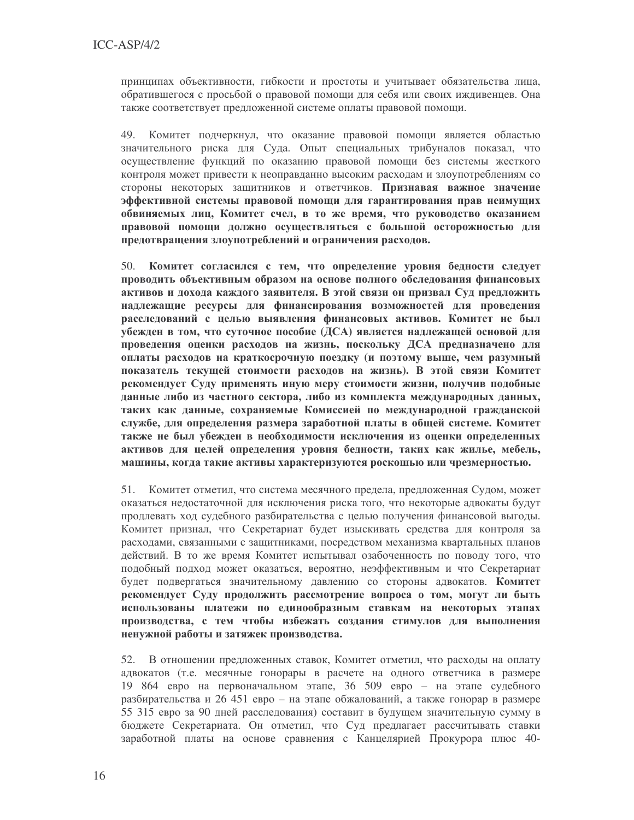принципах объективности, гибкости и простоты и учитывает обязательства лица, обратившегося с просьбой о правовой помощи для себя или своих иждивенцев. Она также соответствует предложенной системе оплаты правовой помощи.

49. Комитет подчеркнул, что оказание правовой помощи является областью значительного риска для Суда. Опыт специальных трибуналов показал, что осуществление функций по оказанию правовой помощи без системы жесткого контроля может привести к неоправданно высоким расходам и злоупотреблениям со стороны некоторых защитников и ответчиков. Признавая важное значение эффективной системы правовой помощи для гарантирования прав неимущих обвиняемых лиц, Комитет счел, в то же время, что руководство оказанием правовой помощи должно осуществляться с большой осторожностью для предотвращения злоупотреблений и ограничения расходов.

50. Комитет согласился с тем, что определение уровня бедности следует проводить объективным образом на основе полного обследования финансовых активов и дохода каждого заявителя. В этой связи он призвал Суд предложить надлежащие ресурсы для финансирования возможностей для проведения расследований с целью выявления финансовых активов. Комитет не был убежден в том, что суточное пособие (ДСА) является надлежащей основой для проведения оценки расходов на жизнь, поскольку ДСА предназначено для оплаты расходов на краткосрочную поездку (и поэтому выше, чем разумный показатель текущей стоимости расходов на жизнь). В этой связи Комитет рекомендует Суду применять иную меру стоимости жизни, получив подобные данные либо из частного сектора, либо из комплекта международных данных, таких как данные, сохраняемые Комиссией по международной гражданской службе, для определения размера заработной платы в общей системе. Комитет также не был убежден в необходимости исключения из оценки определенных активов для целей определения уровня бедности, таких как жилье, мебель, машины, когда такие активы характеризуются роскошью или чрезмерностью.

51. Комитет отметил, что система месячного предела, предложенная Судом, может оказаться нелостаточной лля исключения риска того, что некоторые алвокаты булут продлевать ход судебного разбирательства с целью получения финансовой выгоды. Комитет признал, что Секретариат будет изыскивать средства для контроля за расходами, связанными с защитниками, посредством механизма квартальных планов действий. В то же время Комитет испытывал озабоченность по поводу того, что подобный подход может оказаться, вероятно, неэффективным и что Секретариат будет подвергаться значительному давлению со стороны адвокатов. Комитет рекомендует Суду продолжить рассмотрение вопроса о том, могут ли быть использованы платежи по единообразным ставкам на некоторых этапах производства, с тем чтобы избежать создания стимулов для выполнения ненужной работы и затяжек производства.

52. В отношении предложенных ставок, Комитет отметил, что расходы на оплату адвокатов (т.е. месячные гонорары в расчете на одного ответчика в размере 19 864 евро на первоначальном этапе, 36 509 евро - на этапе судебного разбирательства и 26 451 евро – на этапе обжалований, а также гонорар в размере 55 315 евро за 90 дней расследования) составит в будущем значительную сумму в бюджете Секретариата. Он отметил, что Суд предлагает рассчитывать ставки заработной платы на основе сравнения с Канцелярией Прокурора плюс 40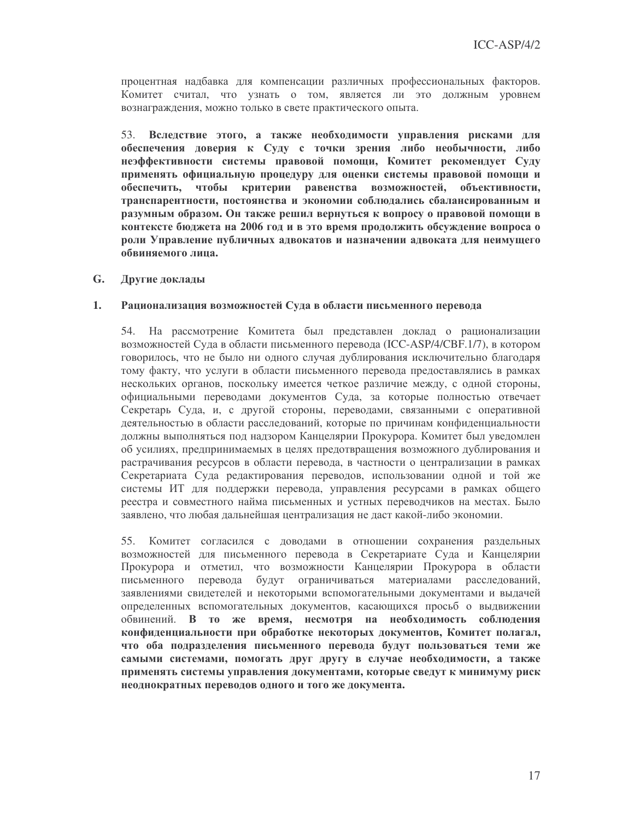процентная надбавка для компенсации различных профессиональных факторов. Комитет считал, что узнать о том, является ли это должным уровнем вознаграждения, можно только в свете практического опыта.

53. Вследствие этого, а также необходимости управления рисками для обеспечения доверия к Суду с точки зрения либо необычности, либо неэффективности системы правовой помощи, Комитет рекомендует Суду применять официальную процедуру для оценки системы правовой помощи и чтобы критерии равенства возможностей, объективности, обеспечить, транспарентности, постоянства и экономии соблюдались сбалансированным и разумным образом. Он также решил вернуться к вопросу о правовой помощи в контексте бюджета на 2006 год и в это время продолжить обсуждение вопроса о роли Управление публичных адвокатов и назначении адвоката для неимущего обвиняемого липа.

### $G_{\bullet}$ Другие доклады

#### 1. Рационализация возможностей Суда в области письменного перевода

54. На рассмотрение Комитета был представлен доклад о рационализации возможностей Суда в области письменного перевода (ICC-ASP/4/CBF.1/7), в котором говорилось, что не было ни одного случая дублирования исключительно благодаря тому факту, что услуги в области письменного перевода предоставлялись в рамках нескольких органов, поскольку имеется четкое различие между, с одной стороны, официальными переводами документов Суда, за которые полностью отвечает Секретарь Суда, и, с другой стороны, переводами, связанными с оперативной деятельностью в области расследований, которые по причинам конфиденциальности должны выполняться под надзором Канцелярии Прокурора. Комитет был уведомлен об усилиях, предпринимаемых в целях предотвращения возможного дублирования и растрачивания ресурсов в области перевода, в частности о централизации в рамках Секретариата Суда редактирования переводов, использовании одной и той же системы ИТ для поддержки перевода, управления ресурсами в рамках общего реестра и совместного найма письменных и устных переводчиков на местах. Было заявлено, что любая дальнейшая централизация не даст какой-либо экономии.

55. Комитет согласился с доводами в отношении сохранения раздельных возможностей для письменного перевода в Секретариате Суда и Канцелярии Прокурора и отметил, что возможности Канцелярии Прокурора в области письменного перевода будут ограничиваться материалами расследований, заявлениями свидетелей и некоторыми вспомогательными документами и выдачей определенных вспомогательных документов, касающихся просьб о выдвижении обвинений. В то же время, несмотря на необходимость соблюдения конфиденциальности при обработке некоторых документов, Комитет полагал, что оба подразделения письменного перевода будут пользоваться теми же самыми системами, помогать друг другу в случае необходимости, а также применять системы управления документами, которые сведут к минимуму риск неоднократных переводов одного и того же документа.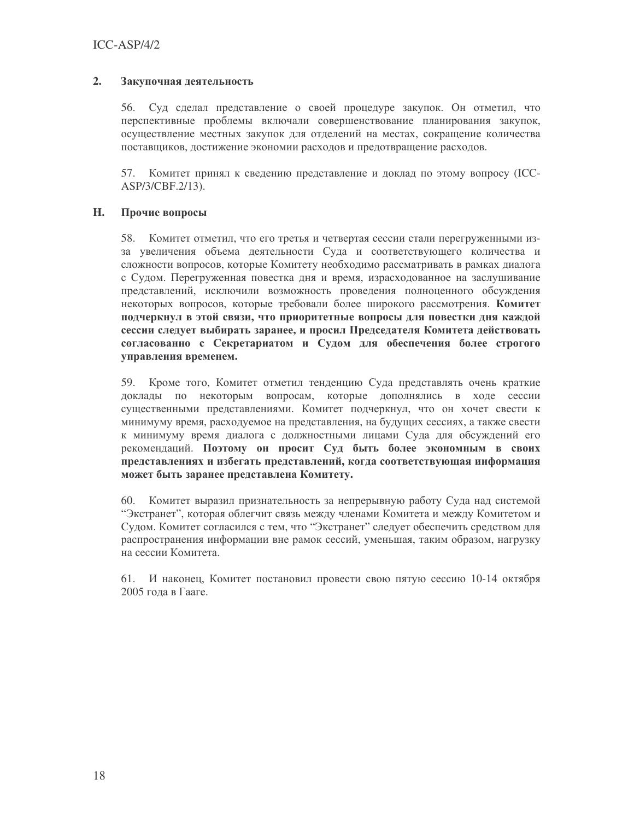### $2.$ Закупочная деятельность

56. Суд сделал представление о своей процедуре закупок. Он отметил, что перспективные проблемы включали совершенствование планирования закупок, осуществление местных закупок для отделений на местах, сокращение количества поставщиков, достижение экономии расходов и предотвращение расходов.

Комитет принял к сведению представление и доклад по этому вопросу (ICC-57. ASP/3/CBF.2/13).

### H. Прочие вопросы

58. Комитет отметил, что его третья и четвертая сессии стали перегруженными изза увеличения объема деятельности Суда и соответствующего количества и сложности вопросов, которые Комитету необходимо рассматривать в рамках диалога с Судом. Перегруженная повестка дня и время, израсходованное на заслушивание представлений, исключили возможность проведения полноценного обсуждения некоторых вопросов, которые требовали более широкого рассмотрения. Комитет подчеркнул в этой связи, что приоритетные вопросы для повестки дня каждой сессии следует выбирать заранее, и просил Председателя Комитета действовать согласованно с Секретариатом и Судом для обеспечения более строгого управления временем.

59. Кроме того, Комитет отметил тенденцию Суда представлять очень краткие доклады по некоторым вопросам, которые дополнялись в ходе сессии существенными представлениями. Комитет подчеркнул, что он хочет свести к минимуму время, расходуемое на представления, на будущих сессиях, а также свести к минимуму время диалога с должностными лицами Суда для обсуждений его рекомендаций. Поэтому он просит Суд быть более экономным в своих представлениях и избегать представлений, когда соответствующая информация может быть заранее представлена Комитету.

60. Комитет выразил признательность за непрерывную работу Суда над системой "Экстранет", которая облегчит связь между членами Комитета и между Комитетом и Судом. Комитет согласился с тем, что "Экстранет" следует обеспечить средством для распространения информации вне рамок сессий, уменьшая, таким образом, нагрузку на сессии Комитета.

61. И наконец. Комитет постановил провести свою пятую сессию 10-14 октября 2005 года в Гааге.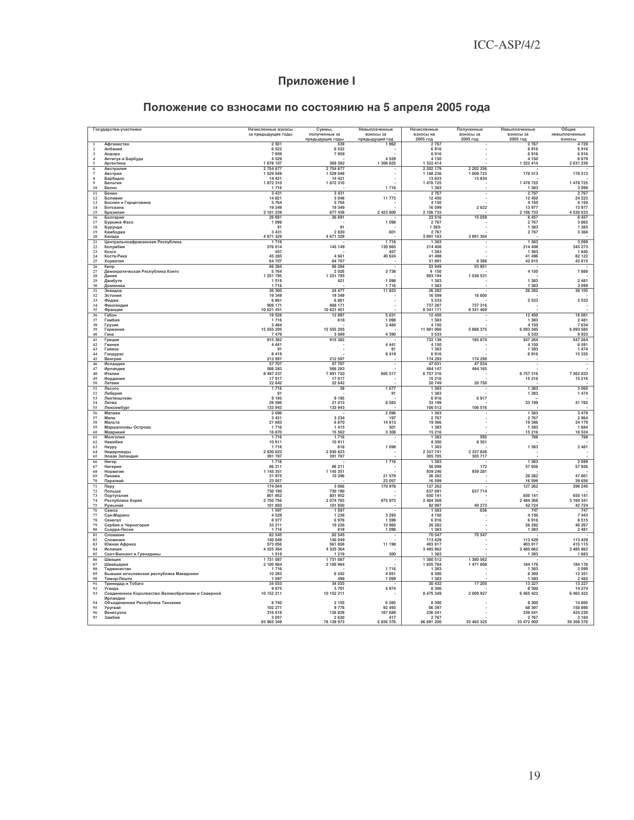## **Приложение I**

| Государства-участники<br>Начисленные взносы<br>Суммы,<br>Невыплаченные<br>Начисленные<br>Полученные<br>Невыплаченные |                                                               |                        |                                  |                             |                          | Общие                    |                       |                         |
|----------------------------------------------------------------------------------------------------------------------|---------------------------------------------------------------|------------------------|----------------------------------|-----------------------------|--------------------------|--------------------------|-----------------------|-------------------------|
|                                                                                                                      |                                                               | за предыдущие годы     | полученные за<br>предыдущие годы | взносы за<br>предыдущий год | взносы на<br>2005 год    | взносы за<br>2005 год    | взносы за<br>2005 год | невыплаченные<br>взносы |
|                                                                                                                      | Афганистан<br>Албания                                         | 2501<br>6522           | 539<br>6522                      | 1962                        | 2767<br>6916             |                          | 2767<br>6916          | 4 7 29<br>6916          |
| $\frac{2}{3}$                                                                                                        | Андора<br>Антигуа и Барбуда                                   | 7959<br>4529           | 7959                             | 4 5 2 9                     | 6916<br>4 1 5 0          |                          | 6916<br>4 1 5 0       | 6916<br>8 6 7 9         |
| $\frac{4}{5}$                                                                                                        | Аргентина                                                     | 1 678 107              | 369 282                          | 1 308 825                   | 1 322 414                |                          | 1 322 414             | 2 631 239               |
| $\begin{array}{c} 6 \\ 7 \end{array}$                                                                                | Австралия<br>Австрия                                          | 2754677<br>1 529 049   | 2754677<br>1 529 049             |                             | 2 202 179<br>1 188 236   | 2 202 256<br>1 009 723   | 178 513               | 178 513                 |
| $\bf8$                                                                                                               | Барбадос                                                      | 14 4 21                | 14 4 21                          |                             | 13833                    | 13 834                   |                       |                         |
| $\overline{9}$<br>10                                                                                                 | Бельгия<br>Белиз                                              | 1872310<br>1716        | 1872310                          | 1716                        | 1 478 725<br>1 3 8 3     |                          | 1 478 725<br>1 3 8 3  | 1 478 725<br>3 0 9 9    |
| 11<br>$12\,$                                                                                                         | Бенин<br>Боливия                                              | 3 4 3 1<br>14821       | 3 4 3 1<br>3 0 4 8               | 11 773                      | 2767<br>12 450           |                          | 2767<br>12450         | 2767<br>24 223          |
| 13                                                                                                                   | Босния и Герцеговина                                          | 5764                   | 5764                             |                             | 4 1 5 0                  |                          | 4 1 5 0               | 4 1 5 0                 |
| 14<br>15                                                                                                             | Ботсвана<br>Бразилия                                          | 19 349<br>3 101 239    | 19 349<br>677 439                | 2 423 800                   | 16 599<br>2 106 733      | 2622                     | 13977<br>2 106 733    | 13 977<br>4 530 533     |
| 16                                                                                                                   | Болгария                                                      | 26 691                 | 26 691                           |                             | 23 516                   | 15 059                   | 8 4 5 7               | 8 4 57                  |
| $17\,$<br>18                                                                                                         | Буркина Фасо<br>Бурунди                                       | 1 0 9 8                | 91                               | 1 0 9 8                     | 2767<br>1 3 8 3 -        |                          | 2767<br>1 3 8 3       | 3 8 65<br>1 3 8 3       |
| 19<br>20                                                                                                             | Камбоджа<br>Канада                                            | 3 4 3 1<br>4 671 329   | 2830<br>4 671 329                | 601                         | 2 7 6 7<br>3 891 163     | 3 891 304                | 2767                  | 3 3 6 8                 |
| 21                                                                                                                   | Центральноафриканская Республика                              | 1716                   |                                  | 1716                        | 1 383                    |                          | 1 3 8 3               | 3 0 9 9                 |
| $\frac{22}{23}$                                                                                                      | Колумбия<br>Конго                                             | 276 014<br>457         | 145 149                          | 130 865<br>457              | 214 408<br>1 383         |                          | 214 408<br>1 3 8 3    | 345 273<br>1840         |
| 24<br>25                                                                                                             | Коста-Рика<br>Хорватия                                        | 45 285<br>64 707       | 4 6 6 1<br>64 70 7               | 40 624                      | 41 498<br>51 891         | 8 3 6 6                  | 41 4 98<br>42815      | 82 122<br>42 815        |
| 26                                                                                                                   | Кипр                                                          | 66 284                 | 66 284                           |                             | 53 949                   | 53 951                   |                       |                         |
| 27<br>28                                                                                                             | Демократическая Республика Конго<br>Дания                     | 5764<br>1 251 795      | 2 0 2 6<br>1 251 795             | 3738                        | 4 150<br>993 194         | 1 038 531                | 4 1 5 0               | 7888                    |
| 29<br>30                                                                                                             | Джибути                                                       | 1519                   | 421                              | 1 0 9 8                     | 1 3 8 3                  |                          | 1383                  | 2 4 8 1                 |
| 31                                                                                                                   | Доминика<br>Эквадор                                           | 1716<br>36 300         | 24 477                           | 1716<br>11 823              | 1 3 8 3<br>26 28 2       |                          | 1 3 8 3<br>26 28 2    | 3 0 9 9<br>38 105       |
| 32<br>33                                                                                                             | Эстония<br>Фиджи                                              | 19 349<br>6861         | 19 349<br>6861                   |                             | 16 599<br>5 5 3 3        | 16 600                   | 5 5 3 3               | 5 5 3 3                 |
| 34                                                                                                                   | Финляндия                                                     | 908 171                | 908 171                          |                             | 737 287                  | 737 316                  |                       |                         |
| 35<br>36                                                                                                             | Франция<br>Габон                                              | 10 621 451<br>18 5 28  | 10 621 451<br>12897              | 5 6 3 1                     | 8 341 171<br>12 450      | 8 341 469                | 12 450                | 18 081                  |
| 37<br>38                                                                                                             | Гамбия<br>Грузия                                              | 1716<br>3 4 8 4        | 618                              | 1 0 9 8<br>3 4 8 4          | 1 3 8 3<br>4 150         |                          | 1 3 8 3<br>4 1 5 0    | 2 4 8 1<br>7 634        |
| 39                                                                                                                   | Германия                                                      | 15 555 205             | 15 555 205                       |                             | 11 981 960               | 5 888 375                | 6 093 585             | 6 093 585               |
| 40<br>41                                                                                                             | Гана<br>Греция                                                | 7479<br>915 382        | 3 0 8 9<br>915 382               | 4 3 9 0                     | 5 5 3 3<br>733 138       | 185 874                  | 5 5 3 3<br>547 264    | 9923<br>547 264         |
| 42                                                                                                                   | Гвинея                                                        | 4 4 4 1                |                                  | 4 4 4 1                     | 4 1 5 0                  |                          | 4 1 5 0               | 8 5 9 1                 |
| 43<br>44                                                                                                             | Гайана<br>Гондурас                                            | 91<br>8419             |                                  | 91<br>8419                  | 1 3 8 3<br>6916          |                          | 1 3 8 3<br>6916       | 1 474<br>15 335         |
| 45<br>46                                                                                                             | Венгрия<br>Исландия                                           | 212 597<br>57707       | 212 597<br>57 707                |                             | 174 293<br>47 031        | 174 299<br>47 034        |                       |                         |
| 47                                                                                                                   | Ирландия                                                      | 566 283                | 566 283                          |                             | 484 147                  | 484 165                  |                       |                         |
| 48<br>49                                                                                                             | Италия<br>Иордания                                            | 8 497 237<br>17017     | 7891720<br>17017                 | 605 517                     | 6757316<br>15 216        |                          | 6757316<br>15 216     | 7 362 833<br>15 216     |
| 50                                                                                                                   | Латвия                                                        | 22 642                 | 22 642                           |                             | 20 749                   | 20 750                   | 1 3 8 3               | 3 0 6 0                 |
| 51<br>52                                                                                                             | Лесото<br>Либерия                                             | 1716<br>Q <sub>1</sub> | 39                               | 1677<br>91                  | 1 3 8 3<br>1 3 8 3       |                          | 1383                  | 1 474                   |
| 53<br>54                                                                                                             | Лихтенштейн<br>Литва                                          | 9 1 9 5<br>29 596      | 9 1 9 5<br>21 013                | 8 5 8 3                     | 6916<br>33 199           | 6917                     | 33 199                | 41 782                  |
| 55                                                                                                                   | Люксембург                                                    | 133 943                | 133 943                          |                             | 106 512                  | 106 516                  |                       |                         |
| 56<br>57                                                                                                             | Мапави<br>Мали                                                | 2096<br>3 4 3 1        | 3 2 3 4                          | 2096<br>197                 | 1 3 8 3<br>2 7 6 7       |                          | 1 383<br>2767         | 3 4 7 9<br>2964         |
| 58<br>59                                                                                                             | Мальта<br>Маршалловы Острова                                  | 21 683<br>1716         | 6 870<br>1415                    | 14813<br>301                | 19 366<br>1 3 8 3        |                          | 19 366<br>1383        | 34 179<br>1 6 8 4       |
| 60                                                                                                                   | Маврикий                                                      | 18870                  | 15 5 62                          | 3 3 0 8                     | 15 216                   |                          | 15 216                | 18 5 24                 |
| 61<br>62                                                                                                             | <b>Монголия</b><br>Намибия                                    | 1716<br>10911          | 1716<br>10 911                   |                             | 1 3 8 3<br>8 3 0 0       | 595<br>8 3 0 1           | 788                   | 788                     |
| 63                                                                                                                   | Haypy                                                         | 1716                   | 618                              | 1 0 9 8                     | 1 383                    |                          | 1383                  | 2 4 8 1                 |
| 64<br>65                                                                                                             | Нидерланды<br>Новая Зеландия                                  | 2 930 823<br>391 787   | 2 930 823<br>391 787             |                             | 2 3 3 7 7 4 1<br>305 705 | 2 3 3 7 8 2 6<br>305 717 |                       |                         |
| 66<br>67                                                                                                             | Нигер<br>Нигерия                                              | 1716<br>86 211         | 86 211                           | 1716                        | 1 3 8 3<br>58 098        | 172                      | 1 3 8 3<br>57926      | 3 0 9 9<br>57 926       |
| 68                                                                                                                   | Норвегия                                                      | 1 145 351              | 1 145 351                        |                             | 939 246                  | 939 281                  |                       |                         |
| 69<br>$70\,$                                                                                                         | Панама<br>Парагвай                                            | 31 975<br>23 057       | 10 396                           | 21 579<br>23 057            | 26 28 2<br>16 599        |                          | 26 28 2<br>16 599     | 47 861<br>39 656        |
| 71                                                                                                                   | Перу                                                          | 174 044                | 3 0 6 6                          | 170 978                     | 127 262                  |                          | 127 262               | 298 240                 |
| $72\,$<br>$^{73}_{74}$                                                                                               | Польша<br>Португалия                                          | 730 190<br>801952      | 730 190<br>801 952               |                             | 637 691<br>650 141       | 637 714                  | 650 141               | 650 141                 |
| 75                                                                                                                   | Республика Корея<br>Румыния                                   | 2 750 756<br>101 850   | 2 074 783<br>101 850             | 675 973                     | 2 484 368<br>82 997      | 40 273                   | 2 484 368<br>42724    | 3 160 341<br>42 724     |
| 76                                                                                                                   | Самоа                                                         | 1 5 9 7                | 1 5 9 7                          |                             | 1 3 8 3                  | 636                      | 747                   | 747                     |
| 77<br>78                                                                                                             | Сан-Марино<br>Сенегал                                         | 4529<br>8577           | 1 2 3 6<br>6978                  | 3 2 9 3<br>1 5 9 9          | 4 1 5 0<br>6916          |                          | 4 1 5 0<br>6916       | 7 4 43<br>8515          |
| 79<br>80                                                                                                             | Сербия и Черногория<br>Сьерра-Леоне                           | 33 211<br>1 7 1 6      | 19 226<br>618                    | 13 985<br>1 0 9 8           | 26 28 2<br>1 3 8 3       |                          | 26 28 2<br>1383       | 40 267<br>2 4 8 1       |
| 81                                                                                                                   | Словакия                                                      | 82 545                 | 82 545                           |                             | 70 547                   | 70 547                   |                       |                         |
| 82<br>83                                                                                                             | Словения<br>Южная Африка                                      | 140 049<br>573 056     | 140 049<br>561858                | 11 198                      | 113 429<br>403 917       |                          | 113 429<br>403 917    | 113 429<br>415 115      |
| 84                                                                                                                   | Испания                                                       | 4 3 2 5 3 6 4          | 4 3 2 5 3 6 4                    |                             | 3 485 862                |                          | 3 485 862             | 3 485 862               |
| 85<br>86                                                                                                             | Сент-Винсент и Гренадины<br>Швеция                            | 1519<br>1 731 087      | 1 2 1 9<br>1 731 087             | 300                         | 1 3 8 3<br>1 380 512     | 1 380 562                | 1 3 8 3               | 1 683                   |
| 87<br>88                                                                                                             | Швейцария<br>Таджикистан                                      | 2 100 964<br>1716      | 2 100 964                        | 1716                        | 1 655 784<br>1 3 8 3     | 1471608                  | 184 176<br>1383       | 184 176<br>3 0 9 9      |
| 89                                                                                                                   | Бывшая югославская республика Македония                       | 10 293                 | 6 2 4 2                          | 4 0 5 1                     | 8 3 0 0                  |                          | 8 3 0 0               | 12 351                  |
| 90<br>91                                                                                                             | Тимор-Лешти<br>Тринидад и Тобаго                              | 1597<br>34 033         | 498<br>34 033                    | 1 0 9 9                     | 1 3 8 3<br>30 432        | 17 20 5                  | 1 3 8 3<br>13 227     | 2482<br>13 227          |
| 92                                                                                                                   | Уганда                                                        | 9675                   | 3701                             | 5974                        | 8 3 0 0<br>8 475 349     | 2 009 927                | 8 3 0 0               | 14 274<br>6 4 6 5 4 2 2 |
| 93                                                                                                                   | Соединенное Королевство Великобритании и Северной<br>Ирландии | 10 152 211             | 10 152 211                       |                             |                          |                          | 6 465 422             |                         |
| 94<br>95                                                                                                             | Объединенная Республика Танзания<br>Уругвай                   | 8740<br>102 271        | 2 1 5 5<br>9778                  | 6 5 8 5<br>92 493           | 8 3 0 0<br>66 397        |                          | 8 3 0 0<br>66 397     | 14 885<br>158 890       |
| 96                                                                                                                   | Венесуэла                                                     | 316 518                | 128 829                          | 187 689                     | 236 541                  |                          | 236 541               | 424 230                 |
| 97                                                                                                                   | Замбия                                                        | 3 0 3 7                | 2 6 2 0                          | 417<br>270                  | 2 7 6 7                  | <b>22 ACE 205</b>        | 2767<br>n nn          | 3 1 8 4                 |

## Положение со взносами по состоянию на 5 апреля 2005 года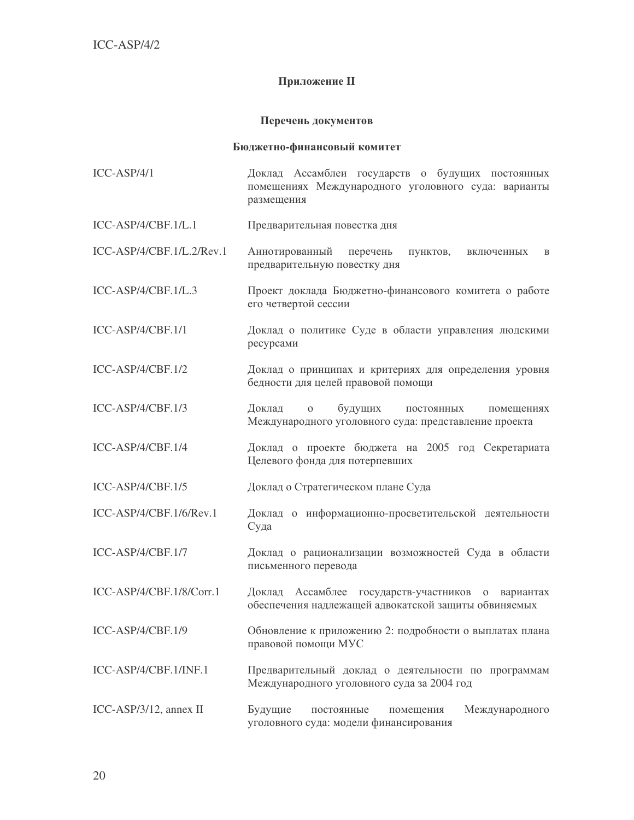## Приложение II

## Перечень документов

### Бюджетно-финансовый комитет

| $ICC-ASP/4/1$             | Доклад Ассамблеи государств о будущих постоянных<br>помещениях Международного уголовного суда: варианты<br>размещения  |
|---------------------------|------------------------------------------------------------------------------------------------------------------------|
| ICC-ASP/4/CBF.1/L.1       | Предварительная повестка дня                                                                                           |
| ICC-ASP/4/CBF.1/L.2/Rev.1 | Аннотированный<br>перечень<br>пунктов,<br>включенных<br>B<br>предварительную повестку дня                              |
| ICC-ASP/4/CBF.1/L.3       | Проект доклада Бюджетно-финансового комитета о работе<br>его четвертой сессии                                          |
| ICC-ASP/4/CBF.1/1         | Доклад о политике Суде в области управления людскими<br>ресурсами                                                      |
| ICC-ASP/4/CBF.1/2         | Доклад о принципах и критериях для определения уровня<br>бедности для целей правовой помощи                            |
| ICC-ASP/4/CBF.1/3         | будущих<br>Доклад<br>$\mathbf{O}$<br>ПОСТОЯННЫХ<br>помещениях<br>Международного уголовного суда: представление проекта |
| ICC-ASP/4/CBF.1/4         | Доклад о проекте бюджета на 2005 год Секретариата<br>Целевого фонда для потерпевших                                    |
| ICC-ASP/4/CBF.1/5         | Доклад о Стратегическом плане Суда                                                                                     |
| ICC-ASP/4/CBF.1/6/Rev.1   | Доклад о информационно-просветительской деятельности<br>Суда                                                           |
| ICC-ASP/4/CBF.1/7         | Доклад о рационализации возможностей Суда в области<br>письменного перевода                                            |
| ICC-ASP/4/CBF.1/8/Corr.1  | Доклад Ассамблее государств-участников о вариантах<br>обеспечения надлежащей адвокатской защиты обвиняемых             |
| ICC-ASP/4/CBF.1/9         | Обновление к приложению 2: подробности о выплатах плана<br>правовой помощи МУС                                         |
| ICC-ASP/4/CBF.1/INF.1     | Предварительный доклад о деятельности по программам<br>Международного уголовного суда за 2004 год                      |
| ICC-ASP/3/12, annex II    | Будущие<br>Международного<br>постоянные<br>помещения<br>уголовного суда: модели финансирования                         |